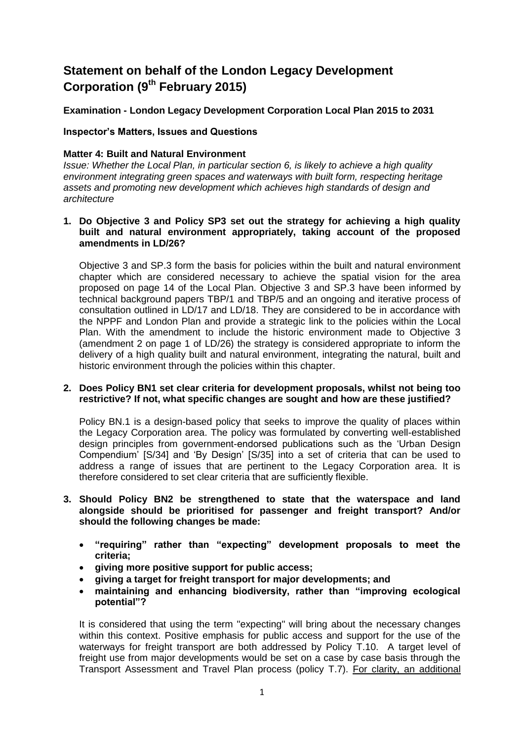# **Statement on behalf of the London Legacy Development Corporation (9th February 2015)**

# **Examination - London Legacy Development Corporation Local Plan 2015 to 2031**

## **Inspector's Matters, Issues and Questions**

### **Matter 4: Built and Natural Environment**

*Issue: Whether the Local Plan, in particular section 6, is likely to achieve a high quality environment integrating green spaces and waterways with built form, respecting heritage assets and promoting new development which achieves high standards of design and architecture*

## **1. Do Objective 3 and Policy SP3 set out the strategy for achieving a high quality built and natural environment appropriately, taking account of the proposed amendments in LD/26?**

Objective 3 and SP.3 form the basis for policies within the built and natural environment chapter which are considered necessary to achieve the spatial vision for the area proposed on page 14 of the Local Plan. Objective 3 and SP.3 have been informed by technical background papers TBP/1 and TBP/5 and an ongoing and iterative process of consultation outlined in LD/17 and LD/18. They are considered to be in accordance with the NPPF and London Plan and provide a strategic link to the policies within the Local Plan. With the amendment to include the historic environment made to Objective 3 (amendment 2 on page 1 of LD/26) the strategy is considered appropriate to inform the delivery of a high quality built and natural environment, integrating the natural, built and historic environment through the policies within this chapter.

## **2. Does Policy BN1 set clear criteria for development proposals, whilst not being too restrictive? If not, what specific changes are sought and how are these justified?**

Policy BN.1 is a design-based policy that seeks to improve the quality of places within the Legacy Corporation area. The policy was formulated by converting well-established design principles from government-endorsed publications such as the 'Urban Design Compendium' [S/34] and 'By Design' [S/35] into a set of criteria that can be used to address a range of issues that are pertinent to the Legacy Corporation area. It is therefore considered to set clear criteria that are sufficiently flexible.

- **3. Should Policy BN2 be strengthened to state that the waterspace and land alongside should be prioritised for passenger and freight transport? And/or should the following changes be made:**
	- **"requiring" rather than "expecting" development proposals to meet the criteria;**
	- **giving more positive support for public access;**
	- **giving a target for freight transport for major developments; and**
	- **maintaining and enhancing biodiversity, rather than "improving ecological potential"?**

It is considered that using the term "expecting" will bring about the necessary changes within this context. Positive emphasis for public access and support for the use of the waterways for freight transport are both addressed by Policy T.10. A target level of freight use from major developments would be set on a case by case basis through the Transport Assessment and Travel Plan process (policy T.7). For clarity, an additional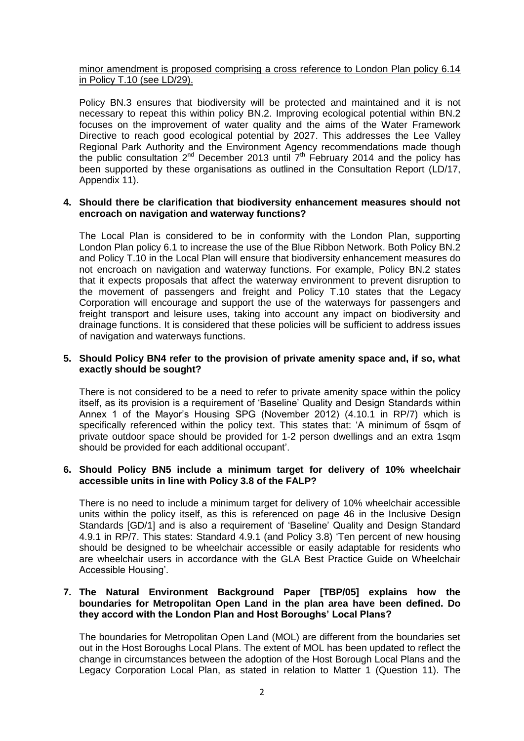## minor amendment is proposed comprising a cross reference to London Plan policy 6.14 in Policy T.10 (see LD/29).

Policy BN.3 ensures that biodiversity will be protected and maintained and it is not necessary to repeat this within policy BN.2. Improving ecological potential within BN.2 focuses on the improvement of water quality and the aims of the Water Framework Directive to reach good ecological potential by 2027. This addresses the Lee Valley Regional Park Authority and the Environment Agency recommendations made though the public consultation  $2^{nd}$  December 2013 until  $7<sup>th</sup>$  February 2014 and the policy has been supported by these organisations as outlined in the Consultation Report (LD/17, Appendix 11).

## **4. Should there be clarification that biodiversity enhancement measures should not encroach on navigation and waterway functions?**

The Local Plan is considered to be in conformity with the London Plan, supporting London Plan policy 6.1 to increase the use of the Blue Ribbon Network. Both Policy BN.2 and Policy T.10 in the Local Plan will ensure that biodiversity enhancement measures do not encroach on navigation and waterway functions. For example, Policy BN.2 states that it expects proposals that affect the waterway environment to prevent disruption to the movement of passengers and freight and Policy T.10 states that the Legacy Corporation will encourage and support the use of the waterways for passengers and freight transport and leisure uses, taking into account any impact on biodiversity and drainage functions. It is considered that these policies will be sufficient to address issues of navigation and waterways functions.

## **5. Should Policy BN4 refer to the provision of private amenity space and, if so, what exactly should be sought?**

There is not considered to be a need to refer to private amenity space within the policy itself, as its provision is a requirement of 'Baseline' Quality and Design Standards within Annex 1 of the Mayor's Housing SPG (November 2012) (4.10.1 in RP/7) which is specifically referenced within the policy text. This states that: 'A minimum of 5sqm of private outdoor space should be provided for 1-2 person dwellings and an extra 1sqm should be provided for each additional occupant'.

#### **6. Should Policy BN5 include a minimum target for delivery of 10% wheelchair accessible units in line with Policy 3.8 of the FALP?**

There is no need to include a minimum target for delivery of 10% wheelchair accessible units within the policy itself, as this is referenced on page 46 in the Inclusive Design Standards [GD/1] and is also a requirement of 'Baseline' Quality and Design Standard 4.9.1 in RP/7. This states: Standard 4.9.1 (and Policy 3.8) 'Ten percent of new housing should be designed to be wheelchair accessible or easily adaptable for residents who are wheelchair users in accordance with the GLA Best Practice Guide on Wheelchair Accessible Housing'.

## **7. The Natural Environment Background Paper [TBP/05] explains how the boundaries for Metropolitan Open Land in the plan area have been defined. Do they accord with the London Plan and Host Boroughs' Local Plans?**

The boundaries for Metropolitan Open Land (MOL) are different from the boundaries set out in the Host Boroughs Local Plans. The extent of MOL has been updated to reflect the change in circumstances between the adoption of the Host Borough Local Plans and the Legacy Corporation Local Plan, as stated in relation to Matter 1 (Question 11). The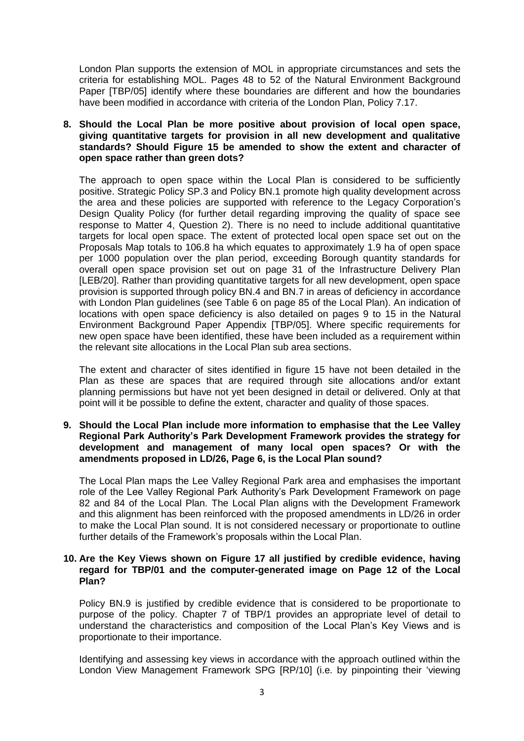London Plan supports the extension of MOL in appropriate circumstances and sets the criteria for establishing MOL. Pages 48 to 52 of the Natural Environment Background Paper [TBP/05] identify where these boundaries are different and how the boundaries have been modified in accordance with criteria of the London Plan, Policy 7.17.

## **8. Should the Local Plan be more positive about provision of local open space, giving quantitative targets for provision in all new development and qualitative standards? Should Figure 15 be amended to show the extent and character of open space rather than green dots?**

The approach to open space within the Local Plan is considered to be sufficiently positive. Strategic Policy SP.3 and Policy BN.1 promote high quality development across the area and these policies are supported with reference to the Legacy Corporation's Design Quality Policy (for further detail regarding improving the quality of space see response to Matter 4, Question 2). There is no need to include additional quantitative targets for local open space. The extent of protected local open space set out on the Proposals Map totals to 106.8 ha which equates to approximately 1.9 ha of open space per 1000 population over the plan period, exceeding Borough quantity standards for overall open space provision set out on page 31 of the Infrastructure Delivery Plan [LEB/20]. Rather than providing quantitative targets for all new development, open space provision is supported through policy BN.4 and BN.7 in areas of deficiency in accordance with London Plan guidelines (see Table 6 on page 85 of the Local Plan). An indication of locations with open space deficiency is also detailed on pages 9 to 15 in the Natural Environment Background Paper Appendix [TBP/05]. Where specific requirements for new open space have been identified, these have been included as a requirement within the relevant site allocations in the Local Plan sub area sections.

The extent and character of sites identified in figure 15 have not been detailed in the Plan as these are spaces that are required through site allocations and/or extant planning permissions but have not yet been designed in detail or delivered. Only at that point will it be possible to define the extent, character and quality of those spaces.

### **9. Should the Local Plan include more information to emphasise that the Lee Valley Regional Park Authority's Park Development Framework provides the strategy for development and management of many local open spaces? Or with the amendments proposed in LD/26, Page 6, is the Local Plan sound?**

The Local Plan maps the Lee Valley Regional Park area and emphasises the important role of the Lee Valley Regional Park Authority's Park Development Framework on page 82 and 84 of the Local Plan. The Local Plan aligns with the Development Framework and this alignment has been reinforced with the proposed amendments in LD/26 in order to make the Local Plan sound. It is not considered necessary or proportionate to outline further details of the Framework's proposals within the Local Plan.

## **10. Are the Key Views shown on Figure 17 all justified by credible evidence, having regard for TBP/01 and the computer-generated image on Page 12 of the Local Plan?**

Policy BN.9 is justified by credible evidence that is considered to be proportionate to purpose of the policy. Chapter 7 of TBP/1 provides an appropriate level of detail to understand the characteristics and composition of the Local Plan's Key Views and is proportionate to their importance.

Identifying and assessing key views in accordance with the approach outlined within the London View Management Framework SPG [RP/10] (i.e. by pinpointing their 'viewing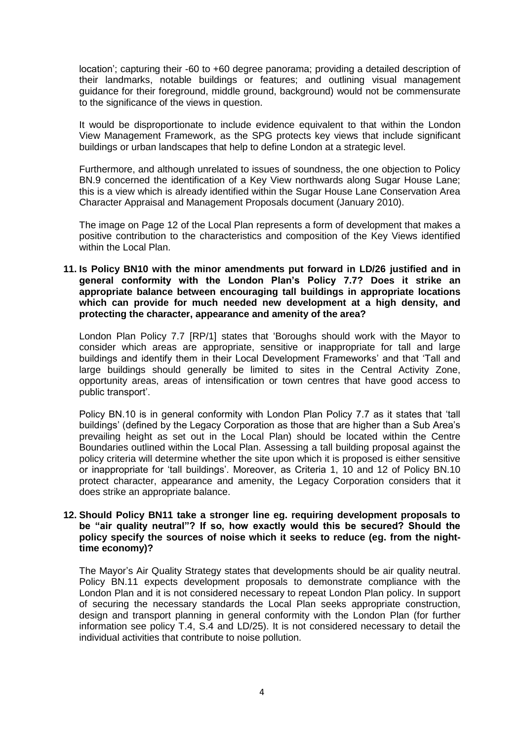location'; capturing their -60 to +60 degree panorama; providing a detailed description of their landmarks, notable buildings or features; and outlining visual management guidance for their foreground, middle ground, background) would not be commensurate to the significance of the views in question.

It would be disproportionate to include evidence equivalent to that within the London View Management Framework, as the SPG protects key views that include significant buildings or urban landscapes that help to define London at a strategic level.

Furthermore, and although unrelated to issues of soundness, the one objection to Policy BN.9 concerned the identification of a Key View northwards along Sugar House Lane; this is a view which is already identified within the Sugar House Lane Conservation Area Character Appraisal and Management Proposals document (January 2010).

The image on Page 12 of the Local Plan represents a form of development that makes a positive contribution to the characteristics and composition of the Key Views identified within the Local Plan.

## **11. Is Policy BN10 with the minor amendments put forward in LD/26 justified and in general conformity with the London Plan's Policy 7.7? Does it strike an appropriate balance between encouraging tall buildings in appropriate locations which can provide for much needed new development at a high density, and protecting the character, appearance and amenity of the area?**

London Plan Policy 7.7 [RP/1] states that 'Boroughs should work with the Mayor to consider which areas are appropriate, sensitive or inappropriate for tall and large buildings and identify them in their Local Development Frameworks' and that 'Tall and large buildings should generally be limited to sites in the Central Activity Zone, opportunity areas, areas of intensification or town centres that have good access to public transport'.

Policy BN.10 is in general conformity with London Plan Policy 7.7 as it states that 'tall buildings' (defined by the Legacy Corporation as those that are higher than a Sub Area's prevailing height as set out in the Local Plan) should be located within the Centre Boundaries outlined within the Local Plan. Assessing a tall building proposal against the policy criteria will determine whether the site upon which it is proposed is either sensitive or inappropriate for 'tall buildings'. Moreover, as Criteria 1, 10 and 12 of Policy BN.10 protect character, appearance and amenity, the Legacy Corporation considers that it does strike an appropriate balance.

## **12. Should Policy BN11 take a stronger line eg. requiring development proposals to be "air quality neutral"? If so, how exactly would this be secured? Should the policy specify the sources of noise which it seeks to reduce (eg. from the nighttime economy)?**

The Mayor's Air Quality Strategy states that developments should be air quality neutral. Policy BN.11 expects development proposals to demonstrate compliance with the London Plan and it is not considered necessary to repeat London Plan policy. In support of securing the necessary standards the Local Plan seeks appropriate construction, design and transport planning in general conformity with the London Plan (for further information see policy T.4, S.4 and LD/25). It is not considered necessary to detail the individual activities that contribute to noise pollution.